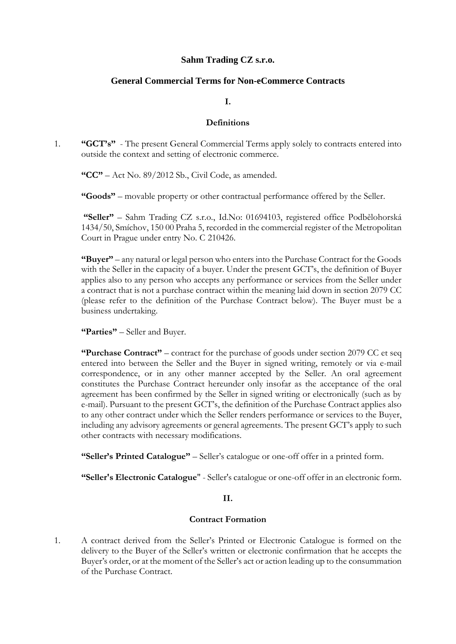# **Sahm Trading CZ s.r.o.**

# **General Commercial Terms for Non-eCommerce Contracts**

#### **I.**

#### **Definitions**

1. **"GCT's"** - The present General Commercial Terms apply solely to contracts entered into outside the context and setting of electronic commerce.

**"CC"** – Act No. 89/2012 Sb., Civil Code, as amended.

**"Goods"** – movable property or other contractual performance offered by the Seller.

**"Seller"** – Sahm Trading CZ s.r.o., Id.No: 01694103, registered office Podbělohorská 1434/50, Smíchov, 150 00 Praha 5, recorded in the commercial register of the Metropolitan Court in Prague under entry No. C 210426.

**"Buyer"** – any natural or legal person who enters into the Purchase Contract for the Goods with the Seller in the capacity of a buyer. Under the present GCT's, the definition of Buyer applies also to any person who accepts any performance or services from the Seller under a contract that is not a purchase contract within the meaning laid down in section 2079 CC (please refer to the definition of the Purchase Contract below). The Buyer must be a business undertaking.

**"Parties"** – Seller and Buyer.

**"Purchase Contract"** – contract for the purchase of goods under section 2079 CC et seq entered into between the Seller and the Buyer in signed writing, remotely or via e-mail correspondence, or in any other manner accepted by the Seller. An oral agreement constitutes the Purchase Contract hereunder only insofar as the acceptance of the oral agreement has been confirmed by the Seller in signed writing or electronically (such as by e-mail). Pursuant to the present GCT's, the definition of the Purchase Contract applies also to any other contract under which the Seller renders performance or services to the Buyer, including any advisory agreements or general agreements. The present GCT's apply to such other contracts with necessary modifications.

**"Seller's Printed Catalogue"** – Seller's catalogue or one-off offer in a printed form.

**"Seller's Electronic Catalogue**" - Seller's catalogue or one-off offer in an electronic form.

## **II.**

## **Contract Formation**

1. A contract derived from the Seller's Printed or Electronic Catalogue is formed on the delivery to the Buyer of the Seller's written or electronic confirmation that he accepts the Buyer's order, or at the moment of the Seller's act or action leading up to the consummation of the Purchase Contract.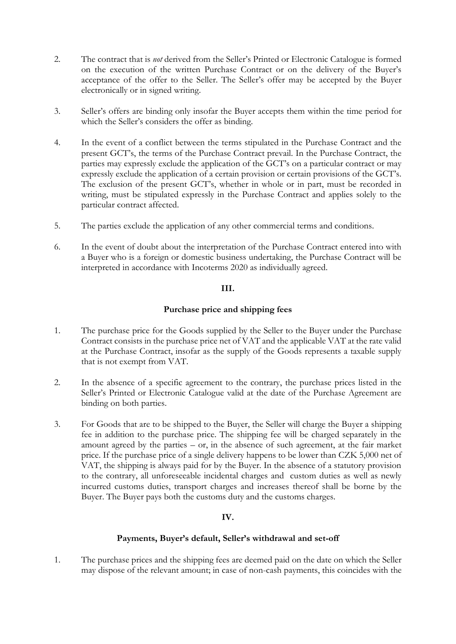- 2. The contract that is *not* derived from the Seller's Printed or Electronic Catalogue is formed on the execution of the written Purchase Contract or on the delivery of the Buyer's acceptance of the offer to the Seller. The Seller's offer may be accepted by the Buyer electronically or in signed writing.
- 3. Seller's offers are binding only insofar the Buyer accepts them within the time period for which the Seller's considers the offer as binding.
- 4. In the event of a conflict between the terms stipulated in the Purchase Contract and the present GCT's, the terms of the Purchase Contract prevail. In the Purchase Contract, the parties may expressly exclude the application of the GCT's on a particular contract or may expressly exclude the application of a certain provision or certain provisions of the GCT's. The exclusion of the present GCT's, whether in whole or in part, must be recorded in writing, must be stipulated expressly in the Purchase Contract and applies solely to the particular contract affected.
- 5. The parties exclude the application of any other commercial terms and conditions.
- 6. In the event of doubt about the interpretation of the Purchase Contract entered into with a Buyer who is a foreign or domestic business undertaking, the Purchase Contract will be interpreted in accordance with Incoterms 2020 as individually agreed.

## **III.**

# **Purchase price and shipping fees**

- 1. The purchase price for the Goods supplied by the Seller to the Buyer under the Purchase Contract consists in the purchase price net of VAT and the applicable VAT at the rate valid at the Purchase Contract, insofar as the supply of the Goods represents a taxable supply that is not exempt from VAT.
- 2. In the absence of a specific agreement to the contrary, the purchase prices listed in the Seller's Printed or Electronic Catalogue valid at the date of the Purchase Agreement are binding on both parties.
- 3. For Goods that are to be shipped to the Buyer, the Seller will charge the Buyer a shipping fee in addition to the purchase price. The shipping fee will be charged separately in the amount agreed by the parties – or, in the absence of such agreement, at the fair market price. If the purchase price of a single delivery happens to be lower than CZK 5,000 net of VAT, the shipping is always paid for by the Buyer. In the absence of a statutory provision to the contrary, all unforeseeable incidental charges and custom duties as well as newly incurred customs duties, transport charges and increases thereof shall be borne by the Buyer. The Buyer pays both the customs duty and the customs charges.

## **IV.**

## **Payments, Buyer's default, Seller's withdrawal and set-off**

1. The purchase prices and the shipping fees are deemed paid on the date on which the Seller may dispose of the relevant amount; in case of non-cash payments, this coincides with the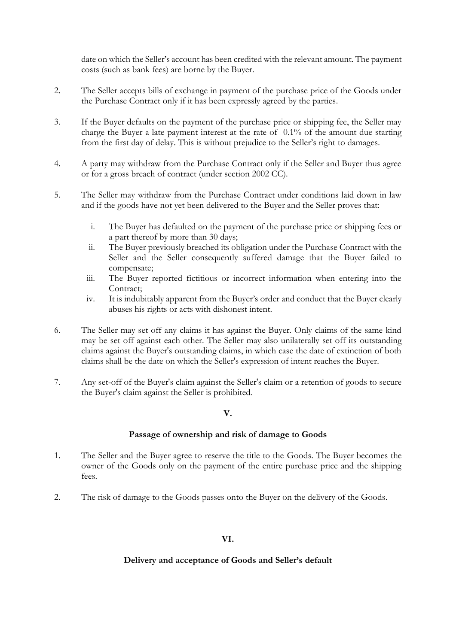date on which the Seller's account has been credited with the relevant amount. The payment costs (such as bank fees) are borne by the Buyer.

- 2. The Seller accepts bills of exchange in payment of the purchase price of the Goods under the Purchase Contract only if it has been expressly agreed by the parties.
- 3. If the Buyer defaults on the payment of the purchase price or shipping fee, the Seller may charge the Buyer a late payment interest at the rate of 0.1% of the amount due starting from the first day of delay. This is without prejudice to the Seller's right to damages.
- 4. A party may withdraw from the Purchase Contract only if the Seller and Buyer thus agree or for a gross breach of contract (under section 2002 CC).
- 5. The Seller may withdraw from the Purchase Contract under conditions laid down in law and if the goods have not yet been delivered to the Buyer and the Seller proves that:
	- i. The Buyer has defaulted on the payment of the purchase price or shipping fees or a part thereof by more than 30 days;
	- ii. The Buyer previously breached its obligation under the Purchase Contract with the Seller and the Seller consequently suffered damage that the Buyer failed to compensate;
	- iii. The Buyer reported fictitious or incorrect information when entering into the Contract;
	- iv. It is indubitably apparent from the Buyer's order and conduct that the Buyer clearly abuses his rights or acts with dishonest intent.
- 6. The Seller may set off any claims it has against the Buyer. Only claims of the same kind may be set off against each other. The Seller may also unilaterally set off its outstanding claims against the Buyer's outstanding claims, in which case the date of extinction of both claims shall be the date on which the Seller's expression of intent reaches the Buyer.
- 7. Any set-off of the Buyer's claim against the Seller's claim or a retention of goods to secure the Buyer's claim against the Seller is prohibited.

## **V.**

#### **Passage of ownership and risk of damage to Goods**

- 1. The Seller and the Buyer agree to reserve the title to the Goods. The Buyer becomes the owner of the Goods only on the payment of the entire purchase price and the shipping fees.
- 2. The risk of damage to the Goods passes onto the Buyer on the delivery of the Goods.

## **VI.**

#### **Delivery and acceptance of Goods and Seller's default**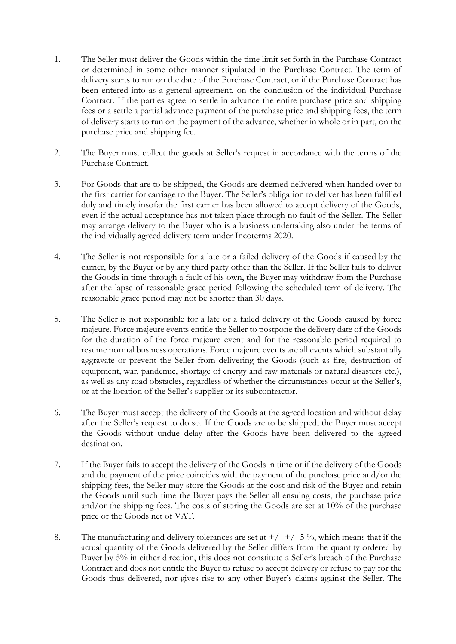- 1. The Seller must deliver the Goods within the time limit set forth in the Purchase Contract or determined in some other manner stipulated in the Purchase Contract. The term of delivery starts to run on the date of the Purchase Contract, or if the Purchase Contract has been entered into as a general agreement, on the conclusion of the individual Purchase Contract. If the parties agree to settle in advance the entire purchase price and shipping fees or a settle a partial advance payment of the purchase price and shipping fees, the term of delivery starts to run on the payment of the advance, whether in whole or in part, on the purchase price and shipping fee.
- 2. The Buyer must collect the goods at Seller's request in accordance with the terms of the Purchase Contract.
- 3. For Goods that are to be shipped, the Goods are deemed delivered when handed over to the first carrier for carriage to the Buyer. The Seller's obligation to deliver has been fulfilled duly and timely insofar the first carrier has been allowed to accept delivery of the Goods, even if the actual acceptance has not taken place through no fault of the Seller. The Seller may arrange delivery to the Buyer who is a business undertaking also under the terms of the individually agreed delivery term under Incoterms 2020.
- 4. The Seller is not responsible for a late or a failed delivery of the Goods if caused by the carrier, by the Buyer or by any third party other than the Seller. If the Seller fails to deliver the Goods in time through a fault of his own, the Buyer may withdraw from the Purchase after the lapse of reasonable grace period following the scheduled term of delivery. The reasonable grace period may not be shorter than 30 days.
- 5. The Seller is not responsible for a late or a failed delivery of the Goods caused by force majeure. Force majeure events entitle the Seller to postpone the delivery date of the Goods for the duration of the force majeure event and for the reasonable period required to resume normal business operations. Force majeure events are all events which substantially aggravate or prevent the Seller from delivering the Goods (such as fire, destruction of equipment, war, pandemic, shortage of energy and raw materials or natural disasters etc.), as well as any road obstacles, regardless of whether the circumstances occur at the Seller's, or at the location of the Seller's supplier or its subcontractor.
- 6. The Buyer must accept the delivery of the Goods at the agreed location and without delay after the Seller's request to do so. If the Goods are to be shipped, the Buyer must accept the Goods without undue delay after the Goods have been delivered to the agreed destination.
- 7. If the Buyer fails to accept the delivery of the Goods in time or if the delivery of the Goods and the payment of the price coincides with the payment of the purchase price and/or the shipping fees, the Seller may store the Goods at the cost and risk of the Buyer and retain the Goods until such time the Buyer pays the Seller all ensuing costs, the purchase price and/or the shipping fees. The costs of storing the Goods are set at 10% of the purchase price of the Goods net of VAT.
- 8. The manufacturing and delivery tolerances are set at  $+/- +/- 5 \%$ , which means that if the actual quantity of the Goods delivered by the Seller differs from the quantity ordered by Buyer by 5% in either direction, this does not constitute a Seller's breach of the Purchase Contract and does not entitle the Buyer to refuse to accept delivery or refuse to pay for the Goods thus delivered, nor gives rise to any other Buyer's claims against the Seller. The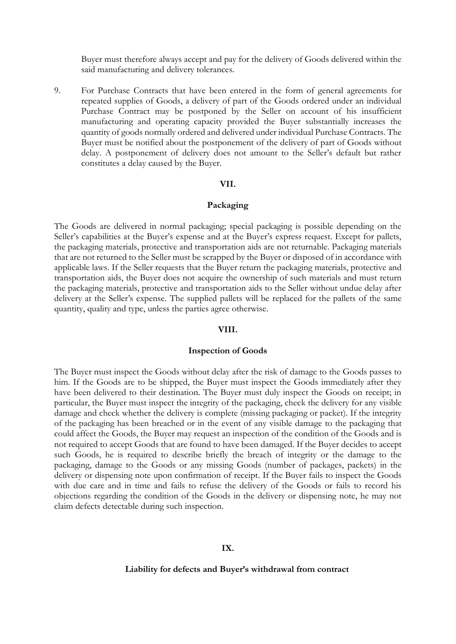Buyer must therefore always accept and pay for the delivery of Goods delivered within the said manufacturing and delivery tolerances.

9. For Purchase Contracts that have been entered in the form of general agreements for repeated supplies of Goods, a delivery of part of the Goods ordered under an individual Purchase Contract may be postponed by the Seller on account of his insufficient manufacturing and operating capacity provided the Buyer substantially increases the quantity of goods normally ordered and delivered under individual Purchase Contracts. The Buyer must be notified about the postponement of the delivery of part of Goods without delay. A postponement of delivery does not amount to the Seller's default but rather constitutes a delay caused by the Buyer.

#### **VII.**

#### **Packaging**

The Goods are delivered in normal packaging; special packaging is possible depending on the Seller's capabilities at the Buyer's expense and at the Buyer's express request. Except for pallets, the packaging materials, protective and transportation aids are not returnable. Packaging materials that are not returned to the Seller must be scrapped by the Buyer or disposed of in accordance with applicable laws. If the Seller requests that the Buyer return the packaging materials, protective and transportation aids, the Buyer does not acquire the ownership of such materials and must return the packaging materials, protective and transportation aids to the Seller without undue delay after delivery at the Seller's expense. The supplied pallets will be replaced for the pallets of the same quantity, quality and type, unless the parties agree otherwise.

#### **VIII.**

#### **Inspection of Goods**

The Buyer must inspect the Goods without delay after the risk of damage to the Goods passes to him. If the Goods are to be shipped, the Buyer must inspect the Goods immediately after they have been delivered to their destination. The Buyer must duly inspect the Goods on receipt; in particular, the Buyer must inspect the integrity of the packaging, check the delivery for any visible damage and check whether the delivery is complete (missing packaging or packet). If the integrity of the packaging has been breached or in the event of any visible damage to the packaging that could affect the Goods, the Buyer may request an inspection of the condition of the Goods and is not required to accept Goods that are found to have been damaged. If the Buyer decides to accept such Goods, he is required to describe briefly the breach of integrity or the damage to the packaging, damage to the Goods or any missing Goods (number of packages, packets) in the delivery or dispensing note upon confirmation of receipt. If the Buyer fails to inspect the Goods with due care and in time and fails to refuse the delivery of the Goods or fails to record his objections regarding the condition of the Goods in the delivery or dispensing note, he may not claim defects detectable during such inspection.

#### **IX.**

#### **Liability for defects and Buyer's withdrawal from contract**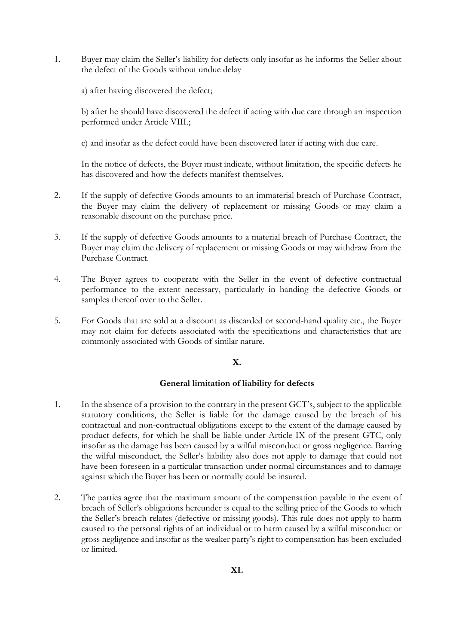1. Buyer may claim the Seller's liability for defects only insofar as he informs the Seller about the defect of the Goods without undue delay

a) after having discovered the defect;

b) after he should have discovered the defect if acting with due care through an inspection performed under Article VIII.;

c) and insofar as the defect could have been discovered later if acting with due care.

In the notice of defects, the Buyer must indicate, without limitation, the specific defects he has discovered and how the defects manifest themselves.

- 2. If the supply of defective Goods amounts to an immaterial breach of Purchase Contract, the Buyer may claim the delivery of replacement or missing Goods or may claim a reasonable discount on the purchase price.
- 3. If the supply of defective Goods amounts to a material breach of Purchase Contract, the Buyer may claim the delivery of replacement or missing Goods or may withdraw from the Purchase Contract.
- 4. The Buyer agrees to cooperate with the Seller in the event of defective contractual performance to the extent necessary, particularly in handing the defective Goods or samples thereof over to the Seller.
- 5. For Goods that are sold at a discount as discarded or second-hand quality etc., the Buyer may not claim for defects associated with the specifications and characteristics that are commonly associated with Goods of similar nature.

# **X.**

## **General limitation of liability for defects**

- 1. In the absence of a provision to the contrary in the present GCT's, subject to the applicable statutory conditions, the Seller is liable for the damage caused by the breach of his contractual and non-contractual obligations except to the extent of the damage caused by product defects, for which he shall be liable under Article IX of the present GTC, only insofar as the damage has been caused by a wilful misconduct or gross negligence. Barring the wilful misconduct, the Seller's liability also does not apply to damage that could not have been foreseen in a particular transaction under normal circumstances and to damage against which the Buyer has been or normally could be insured.
- 2. The parties agree that the maximum amount of the compensation payable in the event of breach of Seller's obligations hereunder is equal to the selling price of the Goods to which the Seller's breach relates (defective or missing goods). This rule does not apply to harm caused to the personal rights of an individual or to harm caused by a wilful misconduct or gross negligence and insofar as the weaker party's right to compensation has been excluded or limited.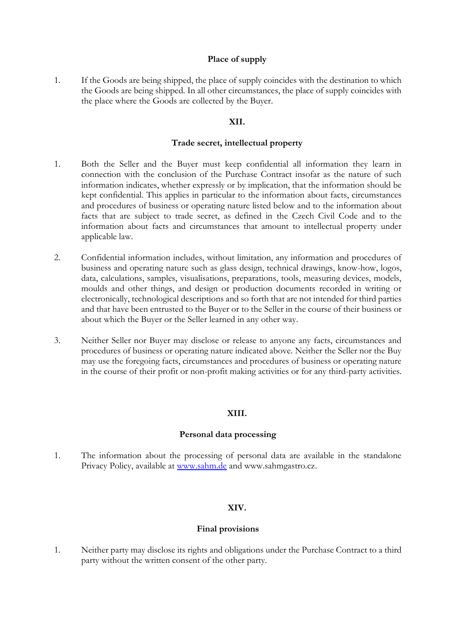# **Place of supply**

1. If the Goods are being shipped, the place of supply coincides with the destination to which the Goods are being shipped. In all other circumstances, the place of supply coincides with the place where the Goods are collected by the Buyer.

# **XII.**

# **Trade secret, intellectual property**

- 1. Both the Seller and the Buyer must keep confidential all information they learn in connection with the conclusion of the Purchase Contract insofar as the nature of such information indicates, whether expressly or by implication, that the information should be kept confidential. This applies in particular to the information about facts, circumstances and procedures of business or operating nature listed below and to the information about facts that are subject to trade secret, as defined in the Czech Civil Code and to the information about facts and circumstances that amount to intellectual property under applicable law.
- 2. Confidential information includes, without limitation, any information and procedures of business and operating nature such as glass design, technical drawings, know-how, logos, data, calculations, samples, visualisations, preparations, tools, measuring devices, models, moulds and other things, and design or production documents recorded in writing or electronically, technological descriptions and so forth that are not intended for third parties and that have been entrusted to the Buyer or to the Seller in the course of their business or about which the Buyer or the Seller learned in any other way.
- 3. Neither Seller nor Buyer may disclose or release to anyone any facts, circumstances and procedures of business or operating nature indicated above. Neither the Seller nor the Buy may use the foregoing facts, circumstances and procedures of business or operating nature in the course of their profit or non-profit making activities or for any third-party activities.

## **XIII.**

## **Personal data processing**

1. The information about the processing of personal data are available in the standalone Privacy Policy, available at [www.sahm.de](http://www.sahm.de/) and www.sahmgastro.cz.

## **XIV.**

## **Final provisions**

1. Neither party may disclose its rights and obligations under the Purchase Contract to a third party without the written consent of the other party.